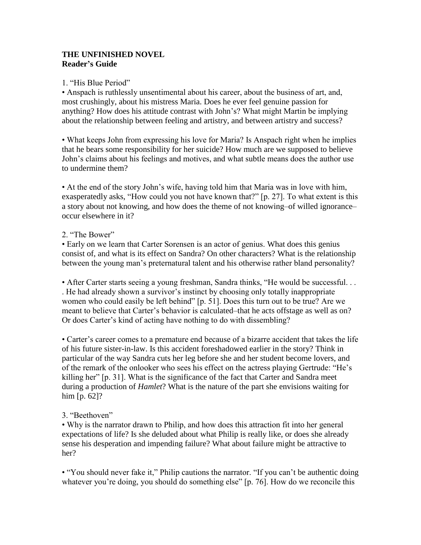# **THE UNFINISHED NOVEL Reader's Guide**

## 1. "His Blue Period"

• Anspach is ruthlessly unsentimental about his career, about the business of art, and, most crushingly, about his mistress Maria. Does he ever feel genuine passion for anything? How does his attitude contrast with John's? What might Martin be implying about the relationship between feeling and artistry, and between artistry and success?

• What keeps John from expressing his love for Maria? Is Anspach right when he implies that he bears some responsibility for her suicide? How much are we supposed to believe John's claims about his feelings and motives, and what subtle means does the author use to undermine them?

• At the end of the story John's wife, having told him that Maria was in love with him, exasperatedly asks, "How could you not have known that?" [p. 27]. To what extent is this a story about not knowing, and how does the theme of not knowing–of willed ignorance– occur elsewhere in it?

## 2 "The Bower"

• Early on we learn that Carter Sorensen is an actor of genius. What does this genius consist of, and what is its effect on Sandra? On other characters? What is the relationship between the young man's preternatural talent and his otherwise rather bland personality?

• After Carter starts seeing a young freshman, Sandra thinks, "He would be successful. . . . He had already shown a survivor's instinct by choosing only totally inappropriate women who could easily be left behind" [p. 51]. Does this turn out to be true? Are we meant to believe that Carter's behavior is calculated–that he acts offstage as well as on? Or does Carter's kind of acting have nothing to do with dissembling?

• Carter's career comes to a premature end because of a bizarre accident that takes the life of his future sister-in-law. Is this accident foreshadowed earlier in the story? Think in particular of the way Sandra cuts her leg before she and her student become lovers, and of the remark of the onlooker who sees his effect on the actress playing Gertrude: "He's killing her" [p. 31]. What is the significance of the fact that Carter and Sandra meet during a production of *Hamlet*? What is the nature of the part she envisions waiting for him [p. 62]?

# 3. "Beethoven"

• Why is the narrator drawn to Philip, and how does this attraction fit into her general expectations of life? Is she deluded about what Philip is really like, or does she already sense his desperation and impending failure? What about failure might be attractive to her?

• "You should never fake it," Philip cautions the narrator. "If you can't be authentic doing whatever you're doing, you should do something else" [p. 76]. How do we reconcile this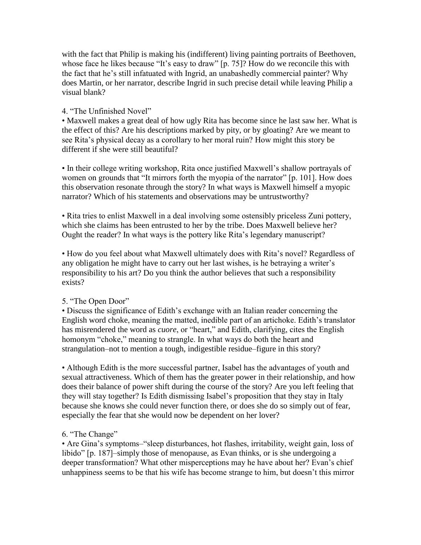with the fact that Philip is making his (indifferent) living painting portraits of Beethoven, whose face he likes because "It's easy to draw" [p. 75]? How do we reconcile this with the fact that he's still infatuated with Ingrid, an unabashedly commercial painter? Why does Martin, or her narrator, describe Ingrid in such precise detail while leaving Philip a visual blank?

## 4. "The Unfinished Novel"

• Maxwell makes a great deal of how ugly Rita has become since he last saw her. What is the effect of this? Are his descriptions marked by pity, or by gloating? Are we meant to see Rita's physical decay as a corollary to her moral ruin? How might this story be different if she were still beautiful?

• In their college writing workshop, Rita once justified Maxwell's shallow portrayals of women on grounds that "It mirrors forth the myopia of the narrator" [p. 101]. How does this observation resonate through the story? In what ways is Maxwell himself a myopic narrator? Which of his statements and observations may be untrustworthy?

• Rita tries to enlist Maxwell in a deal involving some ostensibly priceless Zuni pottery, which she claims has been entrusted to her by the tribe. Does Maxwell believe her? Ought the reader? In what ways is the pottery like Rita's legendary manuscript?

• How do you feel about what Maxwell ultimately does with Rita's novel? Regardless of any obligation he might have to carry out her last wishes, is he betraying a writer's responsibility to his art? Do you think the author believes that such a responsibility exists?

# 5. "The Open Door"

• Discuss the significance of Edith's exchange with an Italian reader concerning the English word choke, meaning the matted, inedible part of an artichoke. Edith's translator has misrendered the word as *cuore*, or "heart," and Edith, clarifying, cites the English homonym "choke," meaning to strangle. In what ways do both the heart and strangulation–not to mention a tough, indigestible residue–figure in this story?

• Although Edith is the more successful partner, Isabel has the advantages of youth and sexual attractiveness. Which of them has the greater power in their relationship, and how does their balance of power shift during the course of the story? Are you left feeling that they will stay together? Is Edith dismissing Isabel's proposition that they stay in Italy because she knows she could never function there, or does she do so simply out of fear, especially the fear that she would now be dependent on her lover?

# 6. "The Change"

• Are Gina's symptoms–"sleep disturbances, hot flashes, irritability, weight gain, loss of libido" [p. 187]–simply those of menopause, as Evan thinks, or is she undergoing a deeper transformation? What other misperceptions may he have about her? Evan's chief unhappiness seems to be that his wife has become strange to him, but doesn't this mirror